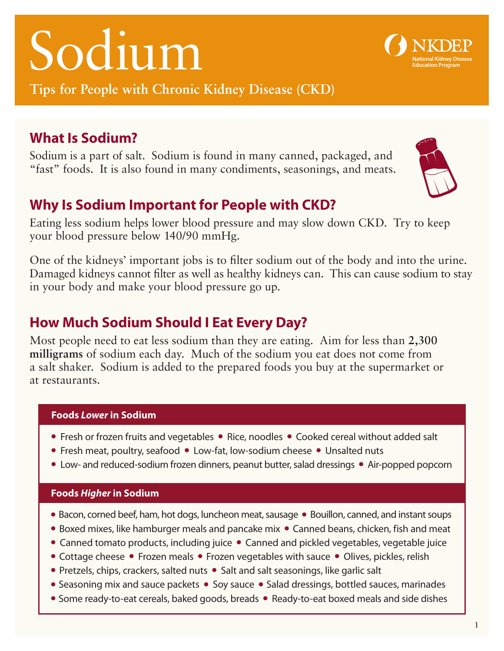# Sodium

**Tips for People with Chronic Kidney Disease (CKD)** 

## **What Is Sodium?**

Sodium is a part of salt. Sodium is found in many canned, packaged, and "fast" foods. It is also found in many condiments, seasonings, and meats.

## **Why Is Sodium Important for People with CKD?**

Eating less sodium helps lower blood pressure and may slow down CKD. Try to keep your blood pressure below 140/90 mmHg.

One of the kidneys' important jobs is to filter sodium out of the body and into the urine. Damaged kidneys cannot filter as well as healthy kidneys can. This can cause sodium to stay in your body and make your blood pressure go up.

## **How Much Sodium Should I Eat Every Day?**

Most people need to eat less sodium than they are eating. Aim for less than **2,300 milligrams** of sodium each day. Much of the sodium you eat does not come from a salt shaker. Sodium is added to the prepared foods you buy at the supermarket or at restaurants.

#### **Foods** *Lower* **in Sodium**

- Fresh or frozen fruits and vegetables Rice, noodles Cooked cereal without added salt
- Fresh meat, poultry, seafood Low-fat, low-sodium cheese Unsalted nuts
- Low- and reduced-sodium frozen dinners, peanut butter, salad dressings Air-popped popcorn

#### **Foods** *Higher* **in Sodium**

- Bacon, corned beef, ham, hot dogs, luncheon meat, sausage Bouillon, canned, and instant soups
- Boxed mixes, like hamburger meals and pancake mix Canned beans, chicken, fish and meat
- Canned tomato products, including juice Canned and pickled vegetables, vegetable juice
- Cottage cheese Frozen meals Frozen vegetables with sauce Olives, pickles, relish
- Pretzels, chips, crackers, salted nuts Salt and salt seasonings, like garlic salt
- Seasoning mix and sauce packets Soy sauce Salad dressings, bottled sauces, marinades
- Some ready-to-eat cereals, baked goods, breads Ready-to-eat boxed meals and side dishes